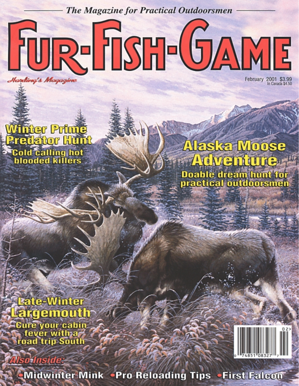**The Magazine for Practical Outdoorsmen** 

FUR-FISH-GAME Handing's Magazine

February 2001 \$3.99

# **Winter Prime Predator Hunt Cold calling hot**<br>blooded killers

Alaska Moose **Adventure Doable dream hunt for<br>practical outdoorsmen** 

**Late-Winter** Largemouth **Cure your cabin**<br>Tever with a fever with a few<br>road trip South

Midwinter Mink . Pro Reloading Tips . First Falcon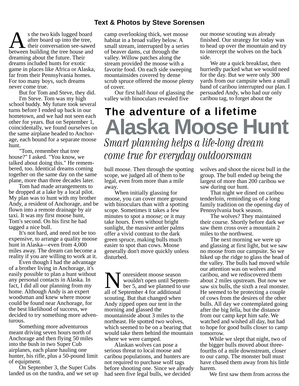#### **Text & Photos by Steve Sorensen**

 s the two kids lugged board after board up into the tree, their conversation see-sawed the two kids lugged board after board up into the tree, their conversation see-sawed dreaming about the future. Their dreams included hunts for exotic game in places like Africa or Alaska, far from their Pennsylvania homes. For too many boys, such dreams never come true.

But for Tom and Steve, they did.

 I'm Steve. Tom was my high school buddy. My future took several turns before I ended up back in our hometown, and we had not seen each other for years. But on September 1, coincidentally, we found ourselves on the same airplane headed to Anchorage, each bound for a separate moose hunt.

 "Tom, remember that tree house?" I asked. "You know, we talked about doing this." He remembered, too. Identical dreams coming together on the same day on the same plane, more than three decades later.

 Tom had made arrangements to be dropped at a lake by a local pilot. My plan was to hunt with my brother Andy, a resident of Anchorage, and be flown into a remote drainage by air taxi. It was my first moose hunt, Tom's second. On his first he had tagged a nice bull.

 It's not hard, and need not be too expensive, to arrange a quality moose hunt in Alaska––even from 4,000 miles away. The dream can become a reality if you are willing to work at it.

 Even though I had the advantage of a brother living in Anchorage, it's easily possible to plan a hunt without any personal contacts in Alaska. In fact, I did all our planning from my home. Although Andy is an expert woodsman and knew where moose could be found near Anchorage, for the best likelihood of success, we decided to try something more adventurous.

 Something more adventurous meant driving seven hours north of Anchorage and then flying 50 miles into the bush in two Super Cub airplanes, each plane hauling one hunter, his rifle, plus a 50-pound limit of equipment.

 On September 3, the Super Cubs landed us on the tundra, and we set up camp overlooking thick, wet moose habitat in a broad valley below. A small stream, interrupted by a series of beaver dams, cut through the valley. Willow patches along the stream provided the moose with a favorite food. On each side sweeping mountainsides covered by dense scrub spruce offered the moose plenty of cover.

 Our first half-hour of glassing the valley with binoculars revealed five

our moose scouting was already finished. Our strategy for today was to head up over the mountain and try to intercept the wolves on the back side.

 We ate a quick breakfast, then hurriedly packed what we would need for the day. But we were only 300 yards from our campsite when a small band of caribou interrupted our plan. I persuaded Andy, who had our only caribou tag, to forget about the

## **The adventure of a lifetime Alaska Moose Hunt** Smart planning helps a life-long dream come true for everyday outdoorsman

bull moose. Then through the spotting scope, we judged all of them to be legal, even from more than a mile away.

 When initially glassing for moose, you can cover more ground with binoculars than with a spotting scope. Sometimes it takes a few minutes to spot a moose; or it may take hours. Even without bright sunlight, the massive antler palms offer a vivid contrast to the dark green spruce, making bulls much easier to spot than cows. Moose generally don't move quickly unless disturbed.

 onresident moose season wouldn't open until Septem ber 5, and we planned to use **All September 4 for additional**<br>all of September 4 for additional scouting. But that changed when Andy zipped open our tent in the morning and glassed the mountainside about 3 miles to the northeast. He spotted two wolves, which seemed to be on a bearing that would take them behind the mountain where we were camped.

 Alaskan wolves can pose a serious threat to local moose and caribou populations, and hunters are not required to purchase wolf tags before shooting one. Since we already had seen five legal bulls, we decided

wolves and shoot the nicest bull in the group. The bull ended up being the largest of more than 200 caribou we saw during our hunt.

 That night we dined on caribou tenderloin, reminding us of a long family tradition on the opening day of Pennsylvania buck season.

 The wolves? They maintained their course. Shortly before dark we saw them cross over a mountain 2 miles to the northwest.

 The next morning we were up and glassing at first light, but we saw no moose from our campsite. So we hiked up the ridge to glass the head of the valley. The bulls had moved while our attention was on wolves and caribou, and we rediscovered them about 2 miles upstream. But now we saw six bulls, the sixth a real monster. He seemed to be protecting a couple of cows from the desires of the other bulls. All day we contemplated going after the big fella, but the distance from our camp kept him safe. We watched and wished all day, but had to hope for good bulls closer to camp tomorrow.

 While we slept that night, two of the bigger bulls moved about threefourths of a mile downstream, closer to our camp. The monster bull must have chased them away from his little harem.

We first saw them from across the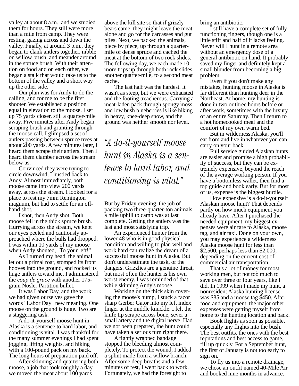valley at about 8 a.m., and we studied them for hours. They still were more than a mile from camp. They were resting, gazing across and down the valley. Finally, at around 3 p.m., they began to clank antlers together, nibble on willow brush, and meander around in the spruce brush. With their attention on food and on each other, we began a stalk that would take us to the bottom of the valley and a short way up the other side.

 Our plan was for Andy to do the calling, and for me to be the first shooter. We established a position equal in elevation to the moose. I set up 75 yards closer, still a quarter-mile away. Five minutes after Andy began scraping brush and grunting through the moose call, I glimpsed a set of antlers passing between spruce trees at about 200 yards. A few minutes later, I heard them scrape their antlers. Then I heard them clamber across the stream below us.

 Convinced they were trying to circle downwind, I hustled back to Andy. Almost immediately, both moose came into view 200 yards away, across the stream. I looked for a place to rest my 7mm Remington magnum, but had to settle for an offhand shot.

 I shot, then Andy shot. Both moose fell in the thick spruce brush. Hurrying across the stream, we kept our eyes peeled and cautiously approached where the bulls had dropped. I was within 10 yards of my moose when Andy shouted, "To your left!"

 As I turned my head, the animal let out a primal roar, stomped its front hooves into the ground, and rocked its huge antlers toward me. I administered the *coup de grace* with another 175 grain Nosler Partition bullet.

 It was Labor Day, and the work we had given ourselves gave the words "Labor Day" new meaning. One moose on the ground is huge. Two are a staggering task.

 A do-it-yourself moose hunt in Alaska is a sentence to hard labor, and conditioning is vital. I was thankful for the many summer evenings I had spent jogging, lifting weights, and hiking with a 100-pound pack on my back. The long hours of preparation paid off.

 After skinning and quartering both moose, a job that took roughly a day, we moved the meat about 100 yards

above the kill site so that if grizzly bears came, they might leave the meat alone and go for the carcasses and gut piles. Next, we packed the animals, piece by piece, up through a quartermile of dense spruce and cached the meat at the bottom of two rock slides. The following day, we each made 10 more trips up through both rock slides, another quarter-mile, to a second meat cache.

 The last half was the hardest. It wasn't as steep, but we were exhausted and the footing treacherous. Carrying a meat-laden pack through spongy moss and low bush blueberries is like hiking in heavy, knee-deep snow, and the ground was neither smooth nor level.

"A do-it-yourself moose hunt in Alaska is a sentence to hard labor, and conditioning is vital."

But by Friday evening, the job of packing two three-quarter-ton animals a mile uphill to camp was at last complete. Getting the antlers was the last and most satisfying trip.

 An experienced hunter from the lower 48 who is in good physical condition and willing to plan well and work hard can realize the dream of a successful moose hunt in Alaska. But don't underestimate the task, or the dangers. Grizzlies are a genuine threat, but most often the hunter is his own worst enemy. I was reminded of that while skinning Andy's moose.

 Working on the thick skin covering the moose's hump, I stuck a razor sharp Gerber Gator into my left index finger at the middle knuckle. I felt the knife tip scrape across bone, sever a small artery and the digital nerve. Had we not been prepared, the hunt could have taken a serious turn right there.

 A tightly wrapped bandage stopped the bleeding almost completely. To protect the wound, I added a splint made from a willow branch. After some deep breaths and a few minutes of rest, I went back to work. Fortunately, we had the foresight to

bring an antibiotic.

 I still have a complete set of fully functioning fingers, though one is a little stiff and half of it lacks feeling. Never will I hunt in a remote area without an emergency dose of a general antibiotic on hand. It probably saved my finger and definitely kept a small blunder from becoming a big problem.

 Even if you don't make any mistakes, hunting moose in Alaska is far different than hunting deer in the Northeast. At home, my hunting is done in two or three hours before or after work, sometimes with the luxury of an entire Saturday. Then I return to a hot homecooked meal and the comfort of my own warm bed.

 But in wilderness Alaska, you'll eat from and live in whatever you can carry on your back.

 Full service guided Alaskan hunts are easier and promise a high probability of success, but they can be extremely expensive, beyond the reach of the average working person. If you have a bottomless wallet, then find a top guide and book early. But for most of us, expense is the biggest hurdle.

 How expensive is a do-it-yourself Alaskan moose hunt? That depends partly on how much equipment you already have. After I purchased the needed equipment, my biggest expenses were air fare to Alaska, moose tag, and air taxi. Done on your own, you may experience a wilderness Alaska moose hunt for less than \$2,500, perhaps less than \$2,000, depending on the current cost of commercial air transportation.

 That's a lot of money for most working men, but not too much to save over three or four years, like I did. In 1999 when I made my hunt, a nonresident Alaska hunting license was \$85 and a moose tag \$450. After food and equipment, the major other expenses were getting myself from home to the hunting location and back.

 Book flights as soon as possible, especially any flights into the bush. The best outfits, the ones with the best reputations and best access to game, fill up quickly. For a September hunt, the first of January is not too early to sign on.

 To fly us into a remote drainage, we chose an outfit named 40-Mile Air and booked nine months in advance.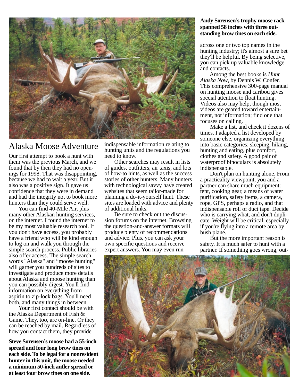

### Alaska Moose Adventure

Our first attempt to book a hunt with them was the previous March, and we found that by then they had no openings for 1998. That was disappointing, because we had to wait a year. But it also was a positive sign. It gave us confidence that they were in demand and had the integrity not to book more hunters than they could serve well.

 You can find 40-Mile Air, plus many other Alaskan hunting services, on the internet. I found the internet to be my most valuable research tool. If you don't have access, you probably have a friend who will be kind enough to log on and walk you through the simple search process. Public libraries also offer access. The simple search words "Alaska" and "moose hunting" will garner you hundreds of sites to investigate and produce more details about Alaska and moose hunting than you can possibly digest. You'll find information on everything from aspirin to zip-lock bags. You'll need both, and many things in between.

 Your first contact should be with the Alaska Department of Fish & Game. They, too, are on-line. Or they can be reached by mail. Regardless of how you contact them, they provide

**Steve Sorensen's moose had a 55-inch spread and four long brow tines on each side. To be legal for a nonresident hunter in this unit, the moose needed a minimum 50-inch antler spread or at least four brow tines on one side.**

indispensable information relating to hunting units and the regulations you need to know.

 Other searches may result in lists of guides, outfitters, air taxis, and lots of how-to hints, as well as the success stories of other hunters. Many hunters with technological savvy have created websites that seem tailor-made for planning a do-it-yourself hunt. These sites are loaded with advice and plenty of additional links.

 Be sure to check out the discussion forums on the internet. Browsing the question-and-answer formats will produce plenty of recommendations and advice. Plus, you can ask your own specific questions and receive expert answers. You may even run

#### **Andy Sorensen's trophy moose rack spanned 58 inches with three outstanding brow tines on each side.**

across one or two top names in the hunting industry; it's almost a sure bet they'll be helpful. By being selective, you can pick up valuable knowledge and contacts.

 Among the best books is *Hunt Alaska Now*, by Dennis W. Confer. This comprehensive 300-page manual on hunting moose and caribou gives special attention to float hunting. Videos also may help, though most videos are geared toward entertainment, not information; find one that focuses on calling.

 Make a list, and check it dozens of times. I adapted a list developed by someone else, organizing everything into basic categories: sleeping, hiking, hunting and eating, plus comfort, clothes and safety. A good pair of waterproof binoculars is absolutely indispensable.

 Don't plan on hunting alone. From a practicality viewpoint, you and a partner can share much equipment: tent, cooking gear, a means of water purification, safety items, a camera, rope, GPS, perhaps a radio, and that indispensable roll of duct tape. Decide who is carrying what, and don't duplicate. Weight will be critical, especially if you're flying into a remote area by bush plane.

 But the more important reason is safety. It is much safer to hunt with a partner. If something goes wrong, out-